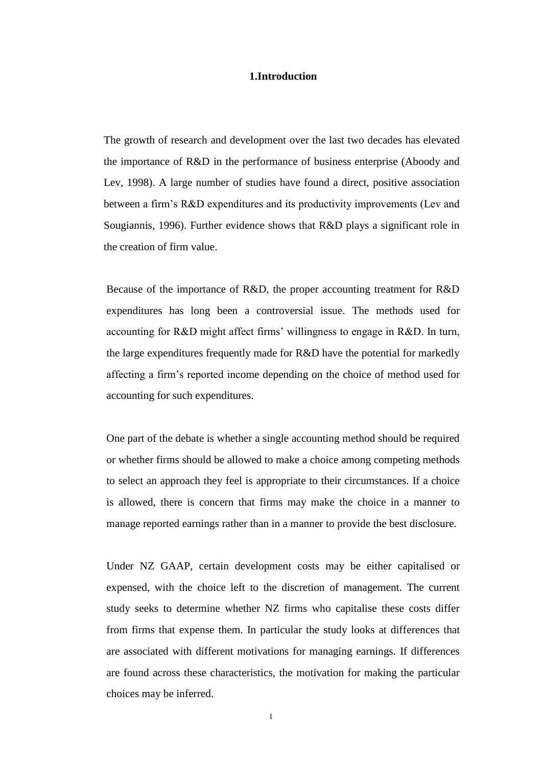#### **1.Introduction**

The growth of research and development over the last two decades has elevated the importance of R&D in the performance of business enterprise (Aboody and Lev, 1998). A large number of studies have found a direct, positive association between a firm's R&D expenditures and its productivity improvements (Lev and Sougiannis, 1996). Further evidence shows that R&D plays a significant role in the creation of firm value.

Because of the importance of R&D, the proper accounting treatment for R&D expenditures has long been a controversial issue. The methods used for accounting for R&D might affect firms' willingness to engage in R&D. In turn, the large expenditures frequently made for R&D have the potential for markedly affecting a firm's reported income depending on the choice of method used for accounting for such expenditures.

One part of the debate is whether a single accounting method should be required or whether firms should be allowed to make a choice among competing methods to select an approach they feel is appropriate to their circumstances. If a choice is allowed, there is concern that firms may make the choice in a manner to manage reported earnings rather than in a manner to provide the best disclosure.

Under NZ GAAP, certain development costs may be either capitalised or expensed, with the choice left to the discretion of management. The current study seeks to determine whether NZ firms who capitalise these costs differ from firms that expense them. In particular the study looks at differences that are associated with different motivations for managing earnings. If differences are found across these characteristics, the motivation for making the particular choices may be inferred.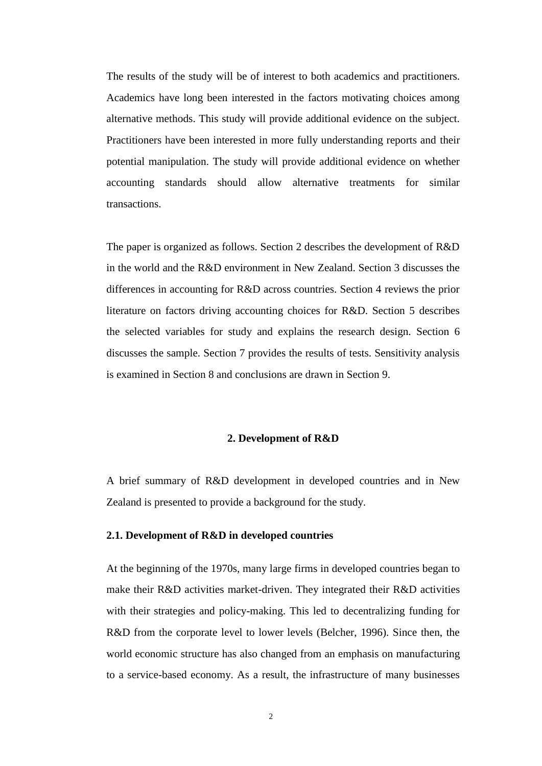The results of the study will be of interest to both academics and practitioners. Academics have long been interested in the factors motivating choices among alternative methods. This study will provide additional evidence on the subject. Practitioners have been interested in more fully understanding reports and their potential manipulation. The study will provide additional evidence on whether accounting standards should allow alternative treatments for similar transactions.

The paper is organized as follows. Section 2 describes the development of R&D in the world and the R&D environment in New Zealand. Section 3 discusses the differences in accounting for R&D across countries. Section 4 reviews the prior literature on factors driving accounting choices for R&D. Section 5 describes the selected variables for study and explains the research design. Section 6 discusses the sample. Section 7 provides the results of tests. Sensitivity analysis is examined in Section 8 and conclusions are drawn in Section 9.

#### **2. Development of R&D**

A brief summary of R&D development in developed countries and in New Zealand is presented to provide a background for the study.

#### **2.1. Development of R&D in developed countries**

At the beginning of the 1970s, many large firms in developed countries began to make their R&D activities market-driven. They integrated their R&D activities with their strategies and policy-making. This led to decentralizing funding for R&D from the corporate level to lower levels (Belcher, 1996). Since then, the world economic structure has also changed from an emphasis on manufacturing to a service-based economy. As a result, the infrastructure of many businesses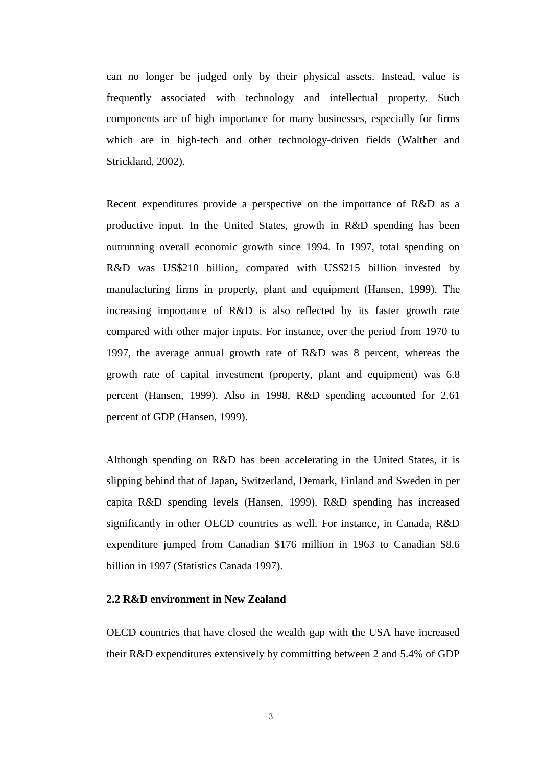can no longer be judged only by their physical assets. Instead, value is frequently associated with technology and intellectual property. Such components are of high importance for many businesses, especially for firms which are in high-tech and other technology-driven fields (Walther and Strickland, 2002).

Recent expenditures provide a perspective on the importance of R&D as a productive input. In the United States, growth in R&D spending has been outrunning overall economic growth since 1994. In 1997, total spending on R&D was US\$210 billion, compared with US\$215 billion invested by manufacturing firms in property, plant and equipment (Hansen, 1999). The increasing importance of R&D is also reflected by its faster growth rate compared with other major inputs. For instance, over the period from 1970 to 1997, the average annual growth rate of R&D was 8 percent, whereas the growth rate of capital investment (property, plant and equipment) was 6.8 percent (Hansen, 1999). Also in 1998, R&D spending accounted for 2.61 percent of GDP (Hansen, 1999).

Although spending on R&D has been accelerating in the United States, it is slipping behind that of Japan, Switzerland, Demark, Finland and Sweden in per capita R&D spending levels (Hansen, 1999). R&D spending has increased significantly in other OECD countries as well. For instance, in Canada, R&D expenditure jumped from Canadian \$176 million in 1963 to Canadian \$8.6 billion in 1997 (Statistics Canada 1997).

# **2.2 R&D environment in New Zealand**

OECD countries that have closed the wealth gap with the USA have increased their R&D expenditures extensively by committing between 2 and 5.4% of GDP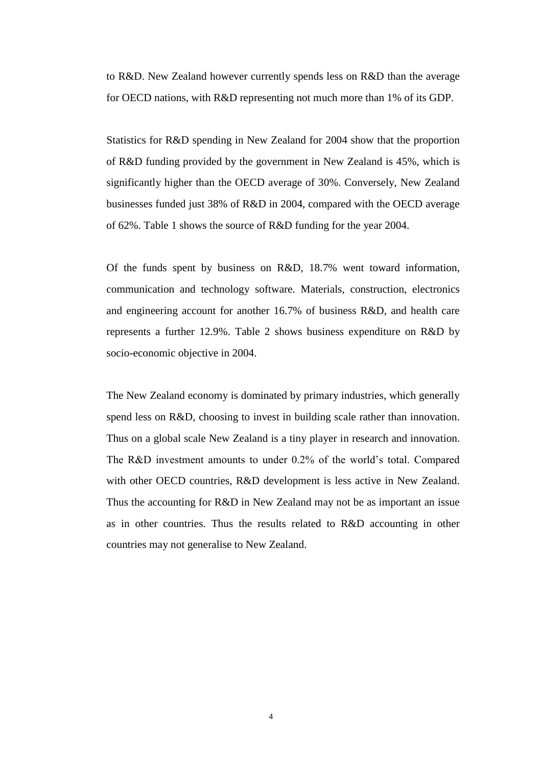to R&D. New Zealand however currently spends less on R&D than the average for OECD nations, with R&D representing not much more than 1% of its GDP.

Statistics for R&D spending in New Zealand for 2004 show that the proportion of R&D funding provided by the government in New Zealand is 45%, which is significantly higher than the OECD average of 30%. Conversely, New Zealand businesses funded just 38% of R&D in 2004, compared with the OECD average of 62%. Table 1 shows the source of R&D funding for the year 2004.

Of the funds spent by business on R&D, 18.7% went toward information, communication and technology software. Materials, construction, electronics and engineering account for another 16.7% of business R&D, and health care represents a further 12.9%. Table 2 shows business expenditure on R&D by socio-economic objective in 2004.

The New Zealand economy is dominated by primary industries, which generally spend less on R&D, choosing to invest in building scale rather than innovation. Thus on a global scale New Zealand is a tiny player in research and innovation. The R&D investment amounts to under 0.2% of the world's total. Compared with other OECD countries, R&D development is less active in New Zealand. Thus the accounting for R&D in New Zealand may not be as important an issue as in other countries. Thus the results related to R&D accounting in other countries may not generalise to New Zealand.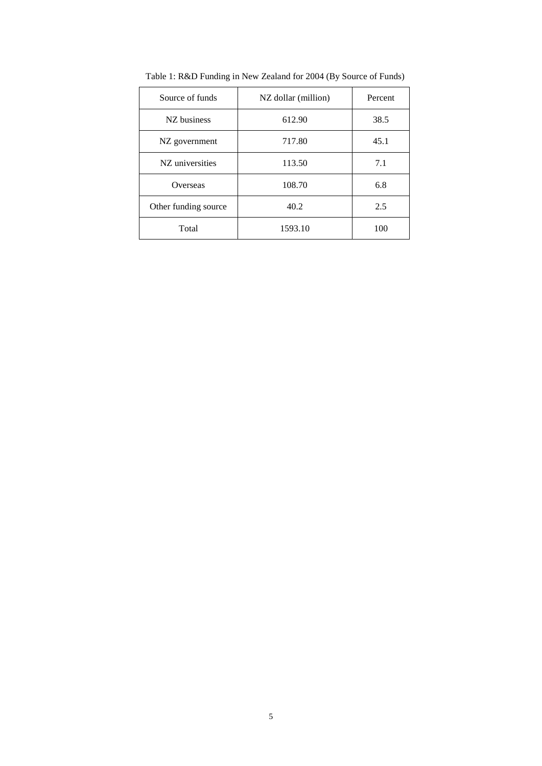| Source of funds      | NZ dollar (million) | Percent |
|----------------------|---------------------|---------|
| NZ business          | 612.90              | 38.5    |
| NZ government        | 717.80              | 45.1    |
| NZ universities      | 113.50              | 7.1     |
| Overseas             | 108.70              | 6.8     |
| Other funding source | 40.2                | 2.5     |
| Total                | 1593.10             | 100     |

Table 1: R&D Funding in New Zealand for 2004 (By Source of Funds)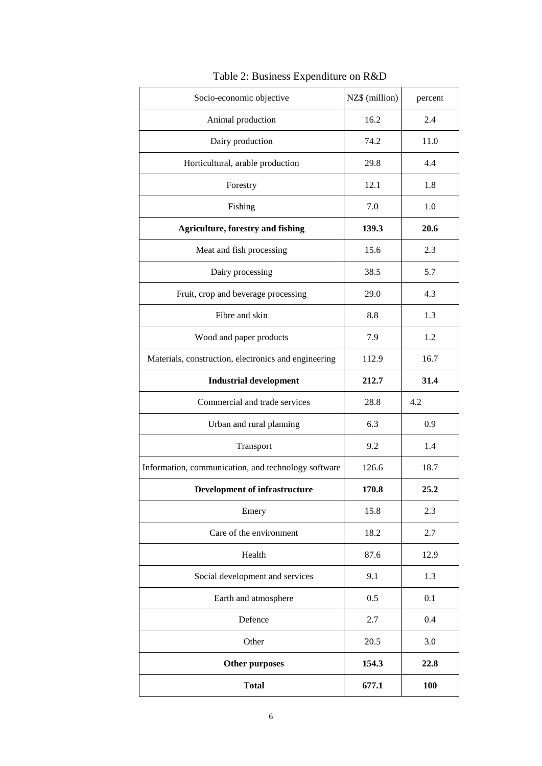| Socio-economic objective                             | NZ\$ (million) | percent |
|------------------------------------------------------|----------------|---------|
| Animal production                                    | 16.2           | 2.4     |
| Dairy production                                     | 74.2           | 11.0    |
| Horticultural, arable production                     | 29.8           | 4.4     |
| Forestry                                             | 12.1           | 1.8     |
| Fishing                                              | 7.0            | 1.0     |
| <b>Agriculture, forestry and fishing</b>             | 139.3          | 20.6    |
| Meat and fish processing                             | 15.6           | 2.3     |
| Dairy processing                                     | 38.5           | 5.7     |
| Fruit, crop and beverage processing                  | 29.0           | 4.3     |
| Fibre and skin                                       | 8.8            | 1.3     |
| Wood and paper products                              | 7.9            | 1.2     |
| Materials, construction, electronics and engineering | 112.9          | 16.7    |
| <b>Industrial development</b>                        | 212.7          | 31.4    |
| Commercial and trade services                        | 28.8           | 4.2     |
| Urban and rural planning                             | 6.3            | 0.9     |
| Transport                                            | 9.2            | 1.4     |
| Information, communication, and technology software  | 126.6          | 18.7    |
| <b>Development of infrastructure</b>                 | 170.8          | 25.2    |
| Emery                                                | 15.8           | 2.3     |
| Care of the environment                              | 18.2           | 2.7     |
| Health                                               | 87.6           | 12.9    |
| Social development and services                      | 9.1            | 1.3     |
| Earth and atmosphere                                 | 0.5            | 0.1     |
| Defence                                              | 2.7            | 0.4     |
| Other                                                | 20.5           | 3.0     |
| <b>Other purposes</b>                                | 154.3          | 22.8    |
| <b>Total</b>                                         | 677.1          | 100     |

Table 2: Business Expenditure on R&D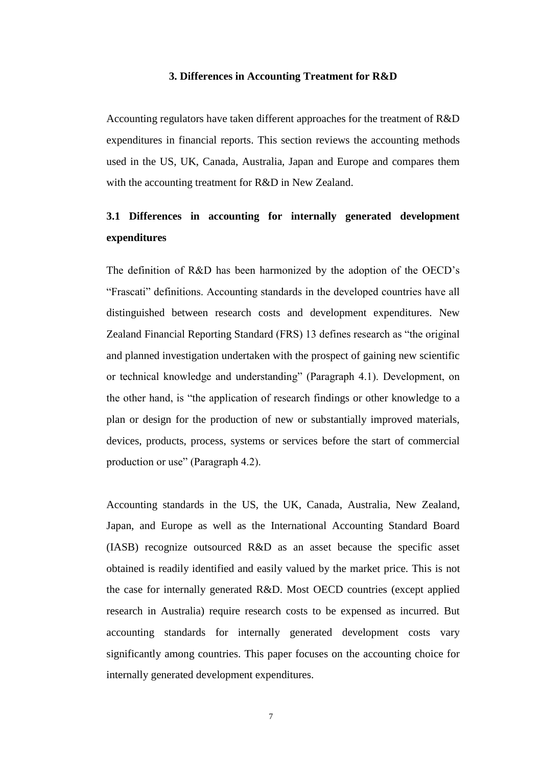#### **3. Differences in Accounting Treatment for R&D**

Accounting regulators have taken different approaches for the treatment of R&D expenditures in financial reports. This section reviews the accounting methods used in the US, UK, Canada, Australia, Japan and Europe and compares them with the accounting treatment for R&D in New Zealand.

# **3.1 Differences in accounting for internally generated development expenditures**

The definition of R&D has been harmonized by the adoption of the OECD's "Frascati" definitions. Accounting standards in the developed countries have all distinguished between research costs and development expenditures. New Zealand Financial Reporting Standard (FRS) 13 defines research as "the original and planned investigation undertaken with the prospect of gaining new scientific or technical knowledge and understanding" (Paragraph 4.1). Development, on the other hand, is "the application of research findings or other knowledge to a plan or design for the production of new or substantially improved materials, devices, products, process, systems or services before the start of commercial production or use" (Paragraph 4.2).

Accounting standards in the US, the UK, Canada, Australia, New Zealand, Japan, and Europe as well as the International Accounting Standard Board (IASB) recognize outsourced R&D as an asset because the specific asset obtained is readily identified and easily valued by the market price. This is not the case for internally generated R&D. Most OECD countries (except applied research in Australia) require research costs to be expensed as incurred. But accounting standards for internally generated development costs vary significantly among countries. This paper focuses on the accounting choice for internally generated development expenditures.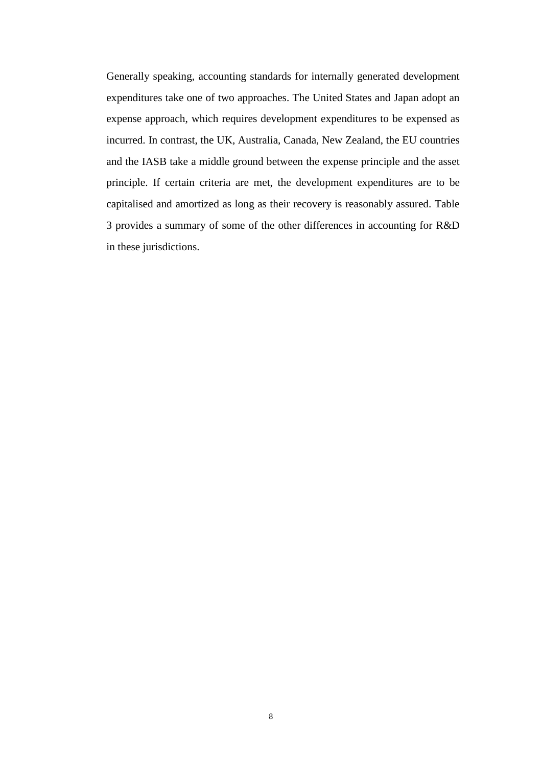Generally speaking, accounting standards for internally generated development expenditures take one of two approaches. The United States and Japan adopt an expense approach, which requires development expenditures to be expensed as incurred. In contrast, the UK, Australia, Canada, New Zealand, the EU countries and the IASB take a middle ground between the expense principle and the asset principle. If certain criteria are met, the development expenditures are to be capitalised and amortized as long as their recovery is reasonably assured. Table 3 provides a summary of some of the other differences in accounting for R&D in these jurisdictions.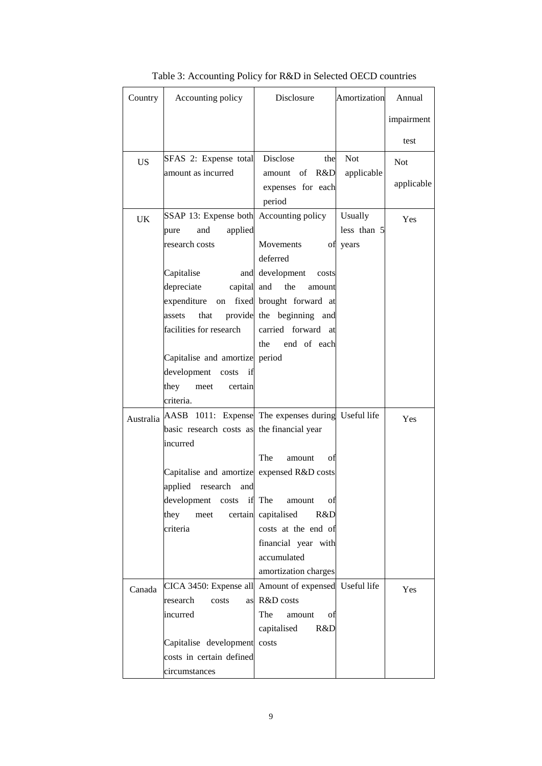| Country   | Accounting policy                                            | Disclosure                  | Amortization | Annual     |
|-----------|--------------------------------------------------------------|-----------------------------|--------------|------------|
|           |                                                              |                             |              | impairment |
|           |                                                              |                             |              | test       |
| <b>US</b> | SFAS 2: Expense total                                        | Disclose<br>the             | <b>Not</b>   | <b>Not</b> |
|           | amount as incurred                                           | R&D<br>amount of            | applicable   |            |
|           |                                                              | expenses for each           |              | applicable |
|           |                                                              | period                      |              |            |
| UK        | SSAP 13: Expense both Accounting policy                      |                             | Usually      | Yes        |
|           | applied<br>and<br>pure                                       |                             | less than 5  |            |
|           | research costs                                               | Movements<br>οf<br>deferred | years        |            |
|           | Capitalise                                                   | and development costs       |              |            |
|           | depreciate<br>capital and                                    | the<br>amount               |              |            |
|           | expenditure<br>on                                            | fixed brought forward at    |              |            |
|           | assets<br>that                                               | provide the beginning and   |              |            |
|           | facilities for research                                      | carried forward at          |              |            |
|           |                                                              | end of each<br>the          |              |            |
|           | Capitalise and amortize period                               |                             |              |            |
|           | development<br>if<br>costs                                   |                             |              |            |
|           | they<br>meet<br>certain                                      |                             |              |            |
|           | criteria.                                                    |                             |              |            |
|           | Australia AASB 1011: Expense The expenses during Useful life |                             |              | Yes        |
|           | basic research costs as the financial year                   |                             |              |            |
|           | incurred                                                     |                             |              |            |
|           |                                                              | The<br>οf<br>amount         |              |            |
|           | Capitalise and amortize expensed R&D costs                   |                             |              |            |
|           | applied research<br>and                                      |                             |              |            |
|           | development<br>costs                                         | if The<br>amount<br>οt      |              |            |
|           | they<br>meet                                                 | certain capitalised<br>R&D  |              |            |
|           | criteria                                                     | costs at the end of         |              |            |
|           |                                                              | financial year with         |              |            |
|           |                                                              | accumulated                 |              |            |
|           |                                                              | amortization charges        |              |            |
| Canada    | CICA 3450: Expense all Amount of expensed Useful life        |                             |              | Yes        |
|           | research<br>costs                                            | as R&D costs                |              |            |
|           | incurred                                                     | The<br>amount<br>οf         |              |            |
|           | Capitalise development costs                                 | capitalised<br>R&D          |              |            |
|           | costs in certain defined                                     |                             |              |            |
|           | circumstances                                                |                             |              |            |
|           |                                                              |                             |              |            |

Table 3: Accounting Policy for R&D in Selected OECD countries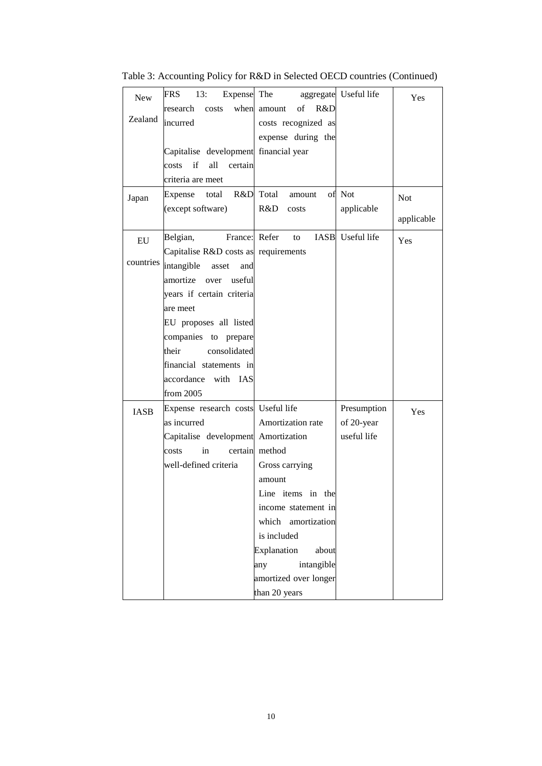| <b>New</b>              | Expense The<br>FRS<br>13:                                                      |                                                                  | aggregate Useful life | Yes        |
|-------------------------|--------------------------------------------------------------------------------|------------------------------------------------------------------|-----------------------|------------|
| Zealand                 | when<br>research<br>costs<br>incurred                                          | R&D<br>of<br>amount<br>costs recognized as<br>expense during the |                       |            |
|                         | Capitalise development financial year<br>if<br>all<br>costs<br>certain         |                                                                  |                       |            |
|                         | criteria are meet                                                              |                                                                  |                       |            |
| Japan                   | R&D<br>Expense<br>total<br>(except software)                                   | Total<br>amount<br>R&D<br>costs                                  | of Not<br>applicable  | <b>Not</b> |
|                         |                                                                                |                                                                  |                       | applicable |
| ${\rm EU}$<br>countries | Belgian,<br>Capitalise R&D costs as requirements<br>intangible<br>asset<br>and | France: Refer<br>to                                              | IASB Useful life      | Yes        |
|                         | amortize over<br>useful<br>years if certain criteria                           |                                                                  |                       |            |
|                         | are meet                                                                       |                                                                  |                       |            |
|                         | EU proposes all listed                                                         |                                                                  |                       |            |
|                         | companies to prepare                                                           |                                                                  |                       |            |
|                         | their<br>consolidated                                                          |                                                                  |                       |            |
|                         | financial statements in<br>accordance with IAS                                 |                                                                  |                       |            |
|                         | from 2005                                                                      |                                                                  |                       |            |
| <b>IASB</b>             | Expense research costs Useful life                                             |                                                                  | Presumption           | Yes        |
|                         | as incurred                                                                    | Amortization rate                                                | of 20-year            |            |
|                         | Capitalise development Amortization                                            |                                                                  | useful life           |            |
|                         | costs<br>in                                                                    | certain method                                                   |                       |            |
|                         | well-defined criteria                                                          | Gross carrying<br>amount                                         |                       |            |
|                         |                                                                                | Line items in the                                                |                       |            |
|                         |                                                                                | income statement in                                              |                       |            |
|                         |                                                                                | which amortization                                               |                       |            |
|                         |                                                                                | is included                                                      |                       |            |
|                         |                                                                                | Explanation<br>about                                             |                       |            |
|                         |                                                                                | intangible<br>any                                                |                       |            |
|                         |                                                                                | amortized over longer                                            |                       |            |
|                         |                                                                                | than 20 years                                                    |                       |            |

Table 3: Accounting Policy for R&D in Selected OECD countries (Continued)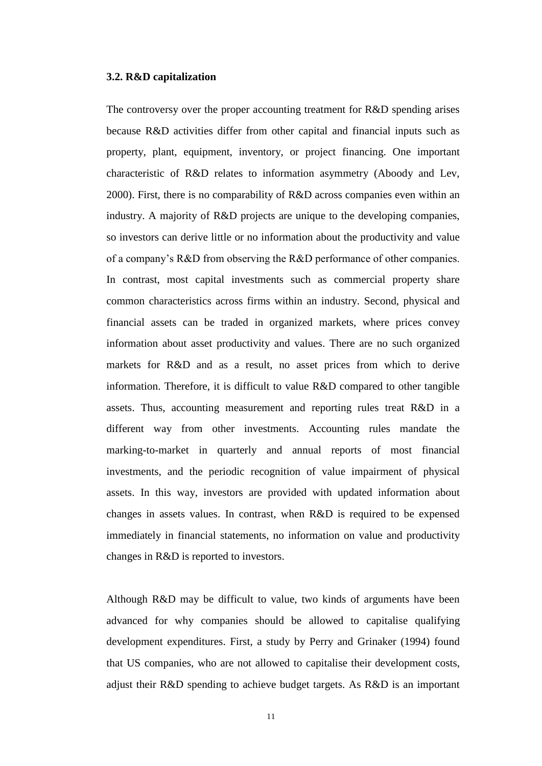#### **3.2. R&D capitalization**

The controversy over the proper accounting treatment for R&D spending arises because R&D activities differ from other capital and financial inputs such as property, plant, equipment, inventory, or project financing. One important characteristic of R&D relates to information asymmetry (Aboody and Lev, 2000). First, there is no comparability of R&D across companies even within an industry. A majority of R&D projects are unique to the developing companies, so investors can derive little or no information about the productivity and value of a company's R&D from observing the R&D performance of other companies. In contrast, most capital investments such as commercial property share common characteristics across firms within an industry. Second, physical and financial assets can be traded in organized markets, where prices convey information about asset productivity and values. There are no such organized markets for R&D and as a result, no asset prices from which to derive information. Therefore, it is difficult to value R&D compared to other tangible assets. Thus, accounting measurement and reporting rules treat R&D in a different way from other investments. Accounting rules mandate the marking-to-market in quarterly and annual reports of most financial investments, and the periodic recognition of value impairment of physical assets. In this way, investors are provided with updated information about changes in assets values. In contrast, when R&D is required to be expensed immediately in financial statements, no information on value and productivity changes in R&D is reported to investors.

Although R&D may be difficult to value, two kinds of arguments have been advanced for why companies should be allowed to capitalise qualifying development expenditures. First, a study by Perry and Grinaker (1994) found that US companies, who are not allowed to capitalise their development costs, adjust their R&D spending to achieve budget targets. As R&D is an important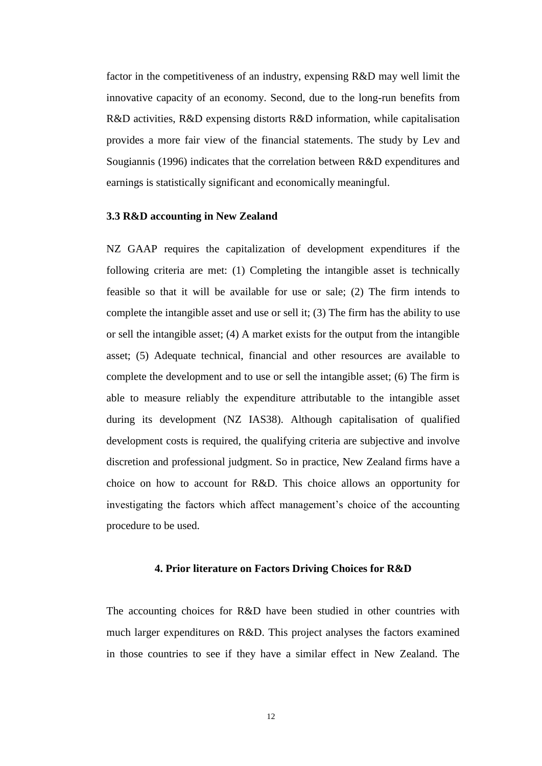factor in the competitiveness of an industry, expensing R&D may well limit the innovative capacity of an economy. Second, due to the long-run benefits from R&D activities, R&D expensing distorts R&D information, while capitalisation provides a more fair view of the financial statements. The study by Lev and Sougiannis (1996) indicates that the correlation between R&D expenditures and earnings is statistically significant and economically meaningful.

# **3.3 R&D accounting in New Zealand**

NZ GAAP requires the capitalization of development expenditures if the following criteria are met: (1) Completing the intangible asset is technically feasible so that it will be available for use or sale; (2) The firm intends to complete the intangible asset and use or sell it; (3) The firm has the ability to use or sell the intangible asset; (4) A market exists for the output from the intangible asset; (5) Adequate technical, financial and other resources are available to complete the development and to use or sell the intangible asset; (6) The firm is able to measure reliably the expenditure attributable to the intangible asset during its development (NZ IAS38). Although capitalisation of qualified development costs is required, the qualifying criteria are subjective and involve discretion and professional judgment. So in practice, New Zealand firms have a choice on how to account for R&D. This choice allows an opportunity for investigating the factors which affect management's choice of the accounting procedure to be used.

#### **4. Prior literature on Factors Driving Choices for R&D**

The accounting choices for R&D have been studied in other countries with much larger expenditures on R&D. This project analyses the factors examined in those countries to see if they have a similar effect in New Zealand. The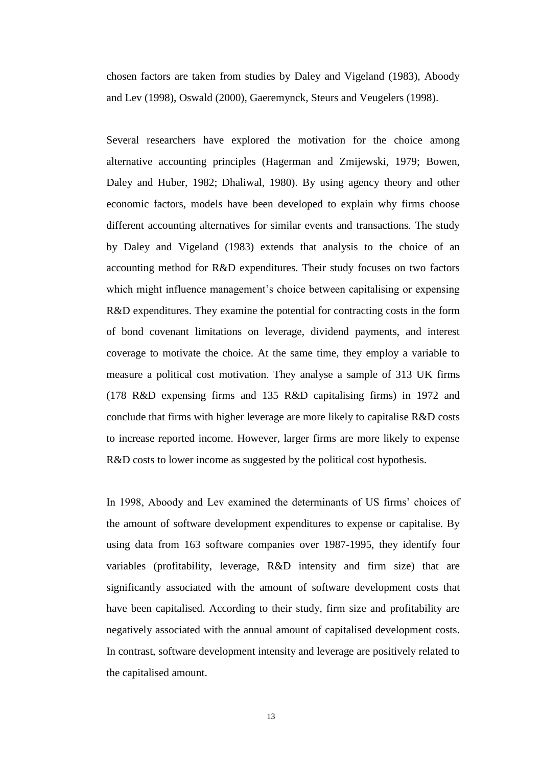chosen factors are taken from studies by Daley and Vigeland (1983), Aboody and Lev (1998), Oswald (2000), Gaeremynck, Steurs and Veugelers (1998).

Several researchers have explored the motivation for the choice among alternative accounting principles (Hagerman and Zmijewski, 1979; Bowen, Daley and Huber, 1982; Dhaliwal, 1980). By using agency theory and other economic factors, models have been developed to explain why firms choose different accounting alternatives for similar events and transactions. The study by Daley and Vigeland (1983) extends that analysis to the choice of an accounting method for R&D expenditures. Their study focuses on two factors which might influence management's choice between capitalising or expensing R&D expenditures. They examine the potential for contracting costs in the form of bond covenant limitations on leverage, dividend payments, and interest coverage to motivate the choice. At the same time, they employ a variable to measure a political cost motivation. They analyse a sample of 313 UK firms (178 R&D expensing firms and 135 R&D capitalising firms) in 1972 and conclude that firms with higher leverage are more likely to capitalise R&D costs to increase reported income. However, larger firms are more likely to expense R&D costs to lower income as suggested by the political cost hypothesis.

In 1998, Aboody and Lev examined the determinants of US firms' choices of the amount of software development expenditures to expense or capitalise. By using data from 163 software companies over 1987-1995, they identify four variables (profitability, leverage, R&D intensity and firm size) that are significantly associated with the amount of software development costs that have been capitalised. According to their study, firm size and profitability are negatively associated with the annual amount of capitalised development costs. In contrast, software development intensity and leverage are positively related to the capitalised amount.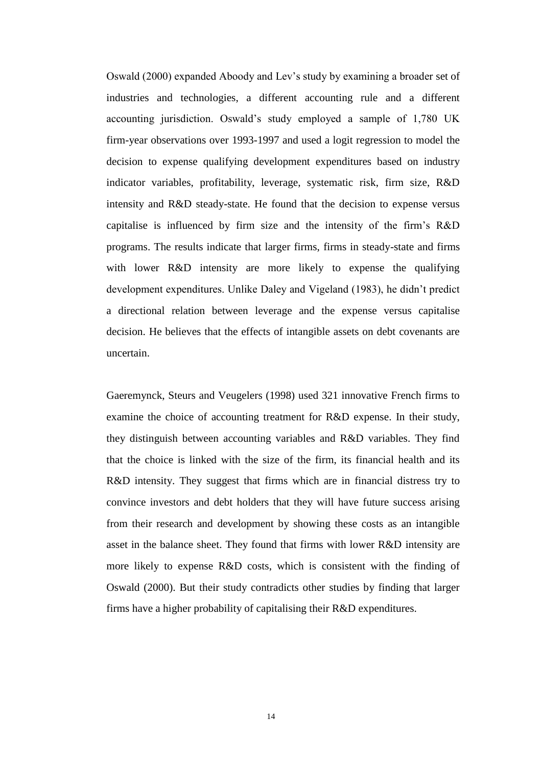Oswald (2000) expanded Aboody and Lev's study by examining a broader set of industries and technologies, a different accounting rule and a different accounting jurisdiction. Oswald's study employed a sample of 1,780 UK firm-year observations over 1993-1997 and used a logit regression to model the decision to expense qualifying development expenditures based on industry indicator variables, profitability, leverage, systematic risk, firm size, R&D intensity and R&D steady-state. He found that the decision to expense versus capitalise is influenced by firm size and the intensity of the firm's R&D programs. The results indicate that larger firms, firms in steady-state and firms with lower R&D intensity are more likely to expense the qualifying development expenditures. Unlike Daley and Vigeland (1983), he didn't predict a directional relation between leverage and the expense versus capitalise decision. He believes that the effects of intangible assets on debt covenants are uncertain.

Gaeremynck, Steurs and Veugelers (1998) used 321 innovative French firms to examine the choice of accounting treatment for R&D expense. In their study, they distinguish between accounting variables and R&D variables. They find that the choice is linked with the size of the firm, its financial health and its R&D intensity. They suggest that firms which are in financial distress try to convince investors and debt holders that they will have future success arising from their research and development by showing these costs as an intangible asset in the balance sheet. They found that firms with lower R&D intensity are more likely to expense R&D costs, which is consistent with the finding of Oswald (2000). But their study contradicts other studies by finding that larger firms have a higher probability of capitalising their R&D expenditures.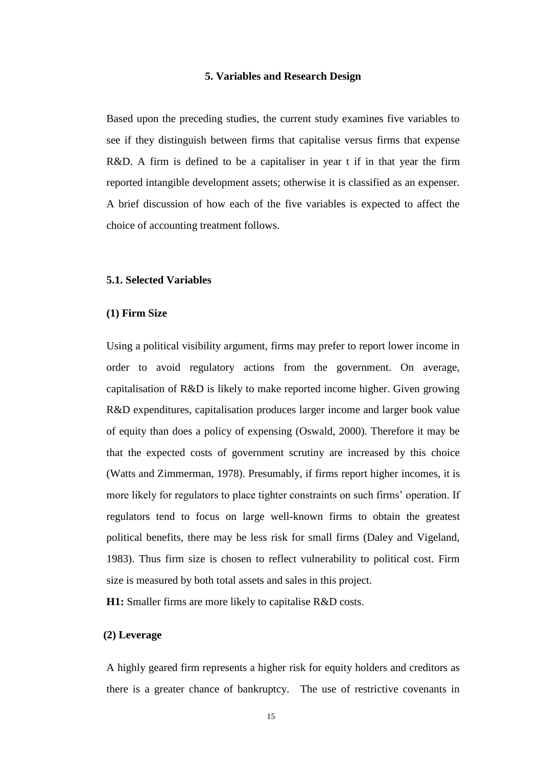#### **5. Variables and Research Design**

Based upon the preceding studies, the current study examines five variables to see if they distinguish between firms that capitalise versus firms that expense R&D. A firm is defined to be a capitaliser in year t if in that year the firm reported intangible development assets; otherwise it is classified as an expenser. A brief discussion of how each of the five variables is expected to affect the choice of accounting treatment follows.

#### **5.1. Selected Variables**

#### **(1) Firm Size**

Using a political visibility argument, firms may prefer to report lower income in order to avoid regulatory actions from the government. On average, capitalisation of R&D is likely to make reported income higher. Given growing R&D expenditures, capitalisation produces larger income and larger book value of equity than does a policy of expensing (Oswald, 2000). Therefore it may be that the expected costs of government scrutiny are increased by this choice (Watts and Zimmerman, 1978). Presumably, if firms report higher incomes, it is more likely for regulators to place tighter constraints on such firms' operation. If regulators tend to focus on large well-known firms to obtain the greatest political benefits, there may be less risk for small firms (Daley and Vigeland, 1983). Thus firm size is chosen to reflect vulnerability to political cost. Firm size is measured by both total assets and sales in this project.

**H1:** Smaller firms are more likely to capitalise R&D costs.

#### **(2) Leverage**

A highly geared firm represents a higher risk for equity holders and creditors as there is a greater chance of bankruptcy. The use of restrictive covenants in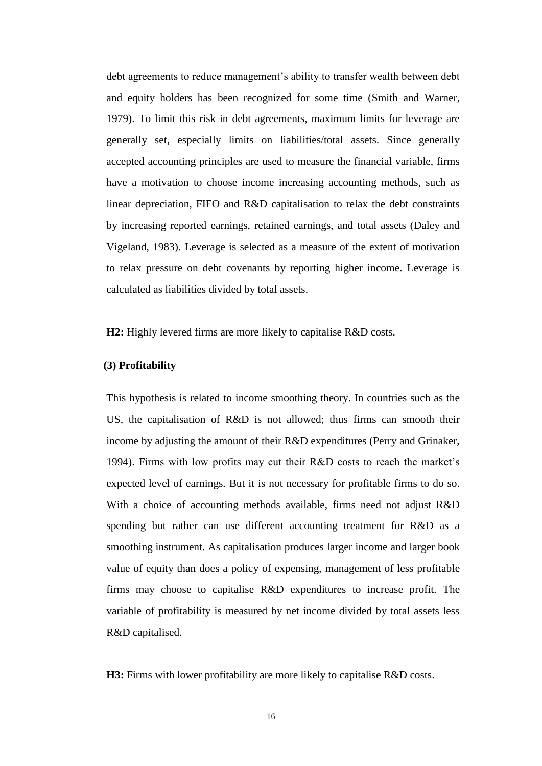debt agreements to reduce management's ability to transfer wealth between debt and equity holders has been recognized for some time (Smith and Warner, 1979). To limit this risk in debt agreements, maximum limits for leverage are generally set, especially limits on liabilities/total assets. Since generally accepted accounting principles are used to measure the financial variable, firms have a motivation to choose income increasing accounting methods, such as linear depreciation, FIFO and R&D capitalisation to relax the debt constraints by increasing reported earnings, retained earnings, and total assets (Daley and Vigeland, 1983). Leverage is selected as a measure of the extent of motivation to relax pressure on debt covenants by reporting higher income. Leverage is calculated as liabilities divided by total assets.

**H2:** Highly levered firms are more likely to capitalise R&D costs.

### **(3) Profitability**

This hypothesis is related to income smoothing theory. In countries such as the US, the capitalisation of R&D is not allowed; thus firms can smooth their income by adjusting the amount of their R&D expenditures (Perry and Grinaker, 1994). Firms with low profits may cut their R&D costs to reach the market's expected level of earnings. But it is not necessary for profitable firms to do so. With a choice of accounting methods available, firms need not adjust R&D spending but rather can use different accounting treatment for R&D as a smoothing instrument. As capitalisation produces larger income and larger book value of equity than does a policy of expensing, management of less profitable firms may choose to capitalise R&D expenditures to increase profit. The variable of profitability is measured by net income divided by total assets less R&D capitalised.

**H3:** Firms with lower profitability are more likely to capitalise R&D costs.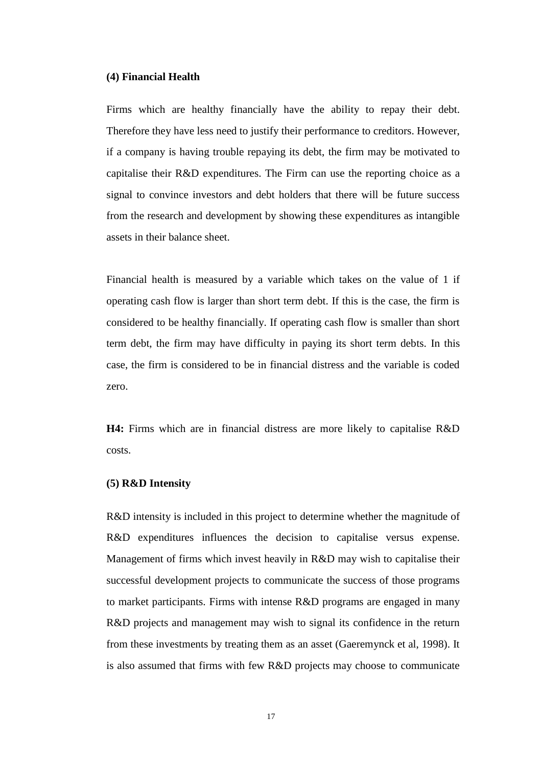#### **(4) Financial Health**

Firms which are healthy financially have the ability to repay their debt. Therefore they have less need to justify their performance to creditors. However, if a company is having trouble repaying its debt, the firm may be motivated to capitalise their R&D expenditures. The Firm can use the reporting choice as a signal to convince investors and debt holders that there will be future success from the research and development by showing these expenditures as intangible assets in their balance sheet.

Financial health is measured by a variable which takes on the value of 1 if operating cash flow is larger than short term debt. If this is the case, the firm is considered to be healthy financially. If operating cash flow is smaller than short term debt, the firm may have difficulty in paying its short term debts. In this case, the firm is considered to be in financial distress and the variable is coded zero.

**H4:** Firms which are in financial distress are more likely to capitalise R&D costs.

#### **(5) R&D Intensity**

R&D intensity is included in this project to determine whether the magnitude of R&D expenditures influences the decision to capitalise versus expense. Management of firms which invest heavily in R&D may wish to capitalise their successful development projects to communicate the success of those programs to market participants. Firms with intense R&D programs are engaged in many R&D projects and management may wish to signal its confidence in the return from these investments by treating them as an asset (Gaeremynck et al, 1998). It is also assumed that firms with few R&D projects may choose to communicate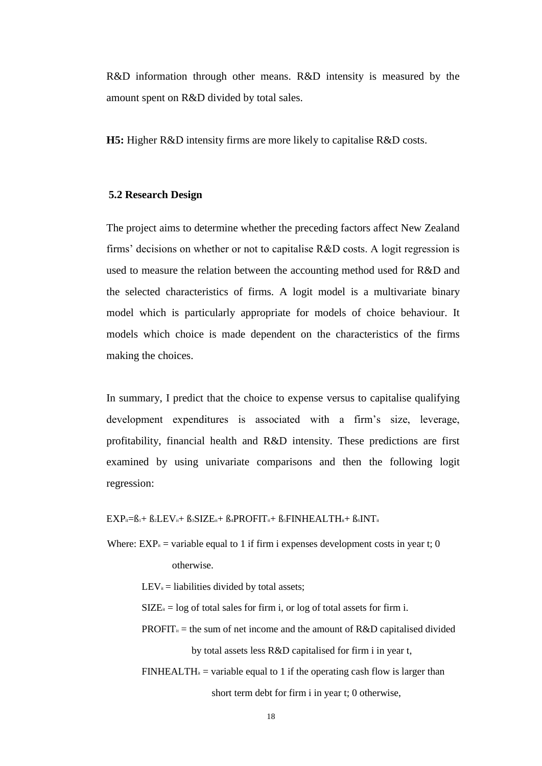R&D information through other means. R&D intensity is measured by the amount spent on R&D divided by total sales.

**H5:** Higher R&D intensity firms are more likely to capitalise R&D costs.

### **5.2 Research Design**

The project aims to determine whether the preceding factors affect New Zealand firms' decisions on whether or not to capitalise R&D costs. A logit regression is used to measure the relation between the accounting method used for R&D and the selected characteristics of firms. A logit model is a multivariate binary model which is particularly appropriate for models of choice behaviour. It models which choice is made dependent on the characteristics of the firms making the choices.

In summary, I predict that the choice to expense versus to capitalise qualifying development expenditures is associated with a firm's size, leverage, profitability, financial health and R&D intensity. These predictions are first examined by using univariate comparisons and then the following logit regression:

 $EXP_{ii}=B_{1}+B_{2}LEV_{ii}+B_{3}SIZE_{ii}+B_{4}PROFIT_{ii}+B_{5}FINHEALTH_{ii}+B_{6}INT_{ii}$ 

Where:  $EXP_{it}$  = variable equal to 1 if firm i expenses development costs in year t; 0 otherwise.

 $LEV_{it}$  = liabilities divided by total assets;

 $SIZE_{it} = log of total sales for firm i, or log of total assets for firm i.$ 

- PROFIT $u$  = the sum of net income and the amount of R&D capitalised divided by total assets less R&D capitalised for firm i in year t,
- $FINHEALTH_{it}$  = variable equal to 1 if the operating cash flow is larger than short term debt for firm i in year t; 0 otherwise,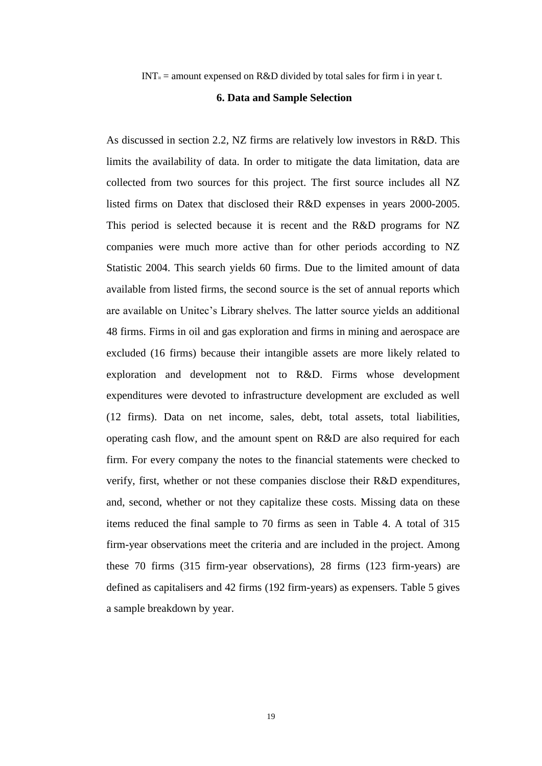$INT_{it}$  = amount expensed on R&D divided by total sales for firm i in year t.

#### **6. Data and Sample Selection**

As discussed in section 2.2, NZ firms are relatively low investors in R&D. This limits the availability of data. In order to mitigate the data limitation, data are collected from two sources for this project. The first source includes all NZ listed firms on Datex that disclosed their R&D expenses in years 2000-2005. This period is selected because it is recent and the R&D programs for NZ companies were much more active than for other periods according to NZ Statistic 2004. This search yields 60 firms. Due to the limited amount of data available from listed firms, the second source is the set of annual reports which are available on Unitec's Library shelves. The latter source yields an additional 48 firms. Firms in oil and gas exploration and firms in mining and aerospace are excluded (16 firms) because their intangible assets are more likely related to exploration and development not to R&D. Firms whose development expenditures were devoted to infrastructure development are excluded as well (12 firms). Data on net income, sales, debt, total assets, total liabilities, operating cash flow, and the amount spent on R&D are also required for each firm. For every company the notes to the financial statements were checked to verify, first, whether or not these companies disclose their R&D expenditures, and, second, whether or not they capitalize these costs. Missing data on these items reduced the final sample to 70 firms as seen in Table 4. A total of 315 firm-year observations meet the criteria and are included in the project. Among these 70 firms (315 firm-year observations), 28 firms (123 firm-years) are defined as capitalisers and 42 firms (192 firm-years) as expensers. Table 5 gives a sample breakdown by year.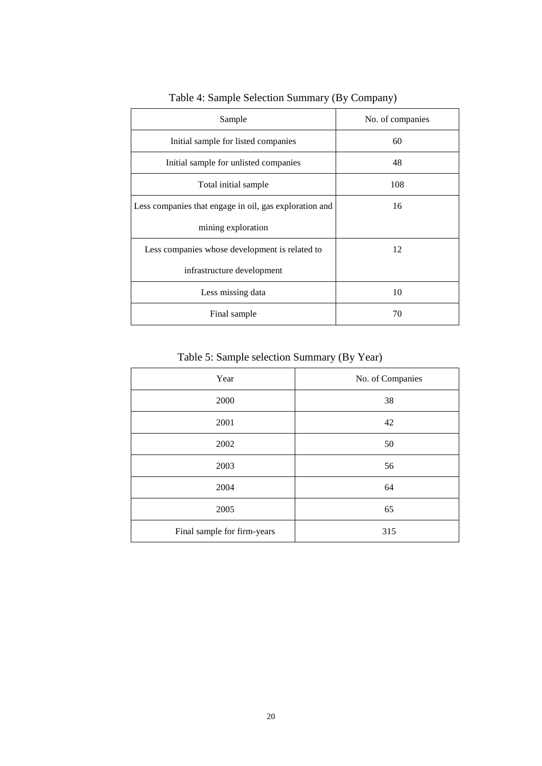| Sample                                                 | No. of companies |
|--------------------------------------------------------|------------------|
| Initial sample for listed companies                    | 60               |
| Initial sample for unlisted companies                  | 48               |
| Total initial sample                                   | 108              |
| Less companies that engage in oil, gas exploration and | 16               |
| mining exploration                                     |                  |
| Less companies whose development is related to         | 12               |
| infrastructure development                             |                  |
| Less missing data                                      | 10               |
| Final sample                                           | 70               |

Table 4: Sample Selection Summary (By Company)

Table 5: Sample selection Summary (By Year)

| Year                        | No. of Companies |
|-----------------------------|------------------|
| 2000                        | 38               |
| 2001                        | 42               |
| 2002                        | 50               |
| 2003                        | 56               |
| 2004                        | 64               |
| 2005                        | 65               |
| Final sample for firm-years | 315              |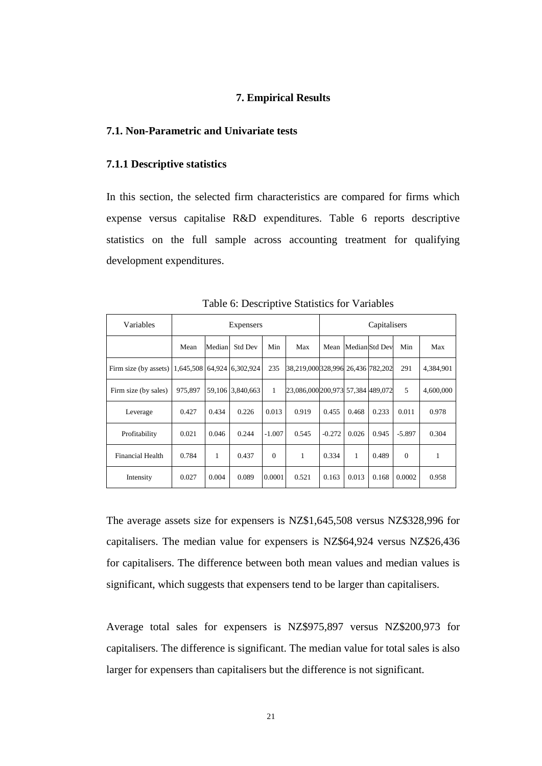# **7. Empirical Results**

# **7.1. Non-Parametric and Univariate tests**

# **7.1.1 Descriptive statistics**

In this section, the selected firm characteristics are compared for firms which expense versus capitalise R&D expenditures. Table 6 reports descriptive statistics on the full sample across accounting treatment for qualifying development expenditures.

| Variables             |           | Expensers |                  |          |                                   |          | Capitalisers |                |          |           |
|-----------------------|-----------|-----------|------------------|----------|-----------------------------------|----------|--------------|----------------|----------|-----------|
|                       | Mean      | Median    | <b>Std Dev</b>   | Min      | Max                               | Mean     |              | Median Std Dev | Min      | Max       |
| Firm size (by assets) | 1,645,508 | 64,924    | 6,302,924        | 235      | 38,219,000 328,996 26,436 782,202 |          |              |                | 291      | 4,384,901 |
| Firm size (by sales)  | 975.897   |           | 59,106 3,840,663 | 1        | 23,086,000 200,973 57,384 489,072 |          |              |                | 5        | 4,600,000 |
| Leverage              | 0.427     | 0.434     | 0.226            | 0.013    | 0.919                             | 0.455    | 0.468        | 0.233          | 0.011    | 0.978     |
| Profitability         | 0.021     | 0.046     | 0.244            | $-1.007$ | 0.545                             | $-0.272$ | 0.026        | 0.945          | $-5.897$ | 0.304     |
| Financial Health      | 0.784     | 1         | 0.437            | $\Omega$ | 1                                 | 0.334    | 1            | 0.489          | $\Omega$ | 1         |
| Intensity             | 0.027     | 0.004     | 0.089            | 0.0001   | 0.521                             | 0.163    | 0.013        | 0.168          | 0.0002   | 0.958     |

Table 6: Descriptive Statistics for Variables

The average assets size for expensers is NZ\$1,645,508 versus NZ\$328,996 for capitalisers. The median value for expensers is NZ\$64,924 versus NZ\$26,436 for capitalisers. The difference between both mean values and median values is significant, which suggests that expensers tend to be larger than capitalisers.

Average total sales for expensers is NZ\$975,897 versus NZ\$200,973 for capitalisers. The difference is significant. The median value for total sales is also larger for expensers than capitalisers but the difference is not significant.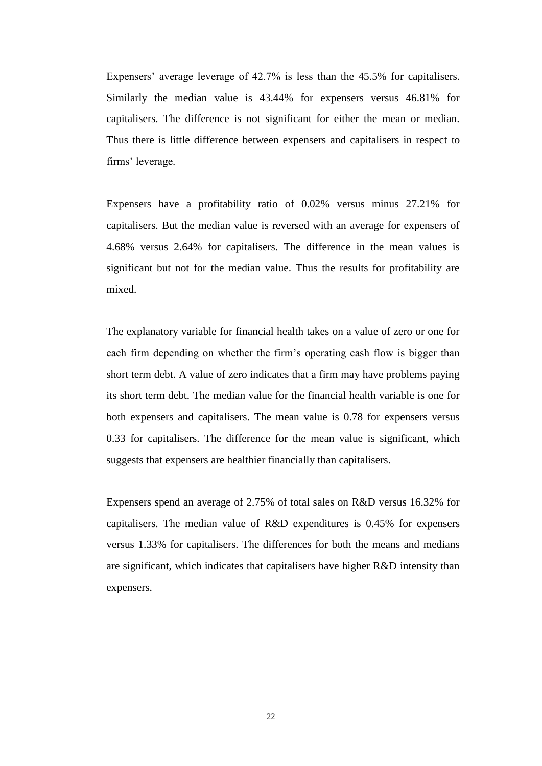Expensers' average leverage of 42.7% is less than the 45.5% for capitalisers. Similarly the median value is 43.44% for expensers versus 46.81% for capitalisers. The difference is not significant for either the mean or median. Thus there is little difference between expensers and capitalisers in respect to firms' leverage.

Expensers have a profitability ratio of 0.02% versus minus 27.21% for capitalisers. But the median value is reversed with an average for expensers of 4.68% versus 2.64% for capitalisers. The difference in the mean values is significant but not for the median value. Thus the results for profitability are mixed.

The explanatory variable for financial health takes on a value of zero or one for each firm depending on whether the firm's operating cash flow is bigger than short term debt. A value of zero indicates that a firm may have problems paying its short term debt. The median value for the financial health variable is one for both expensers and capitalisers. The mean value is 0.78 for expensers versus 0.33 for capitalisers. The difference for the mean value is significant, which suggests that expensers are healthier financially than capitalisers.

Expensers spend an average of 2.75% of total sales on R&D versus 16.32% for capitalisers. The median value of R&D expenditures is 0.45% for expensers versus 1.33% for capitalisers. The differences for both the means and medians are significant, which indicates that capitalisers have higher R&D intensity than expensers.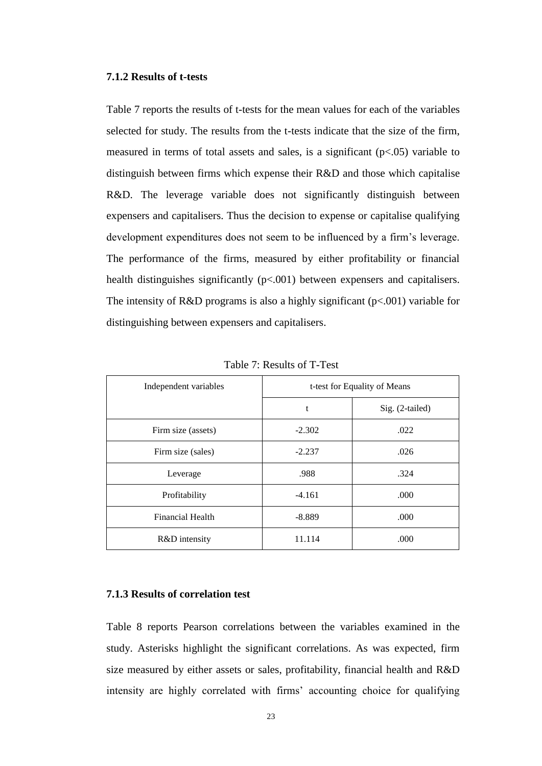#### **7.1.2 Results of t-tests**

Table 7 reports the results of t-tests for the mean values for each of the variables selected for study. The results from the t-tests indicate that the size of the firm, measured in terms of total assets and sales, is a significant  $(p<.05)$  variable to distinguish between firms which expense their R&D and those which capitalise R&D. The leverage variable does not significantly distinguish between expensers and capitalisers. Thus the decision to expense or capitalise qualifying development expenditures does not seem to be influenced by a firm's leverage. The performance of the firms, measured by either profitability or financial health distinguishes significantly ( $p<0.001$ ) between expensers and capitalisers. The intensity of R&D programs is also a highly significant  $(p<.001)$  variable for distinguishing between expensers and capitalisers.

| Independent variables | t-test for Equality of Means |                 |  |  |  |
|-----------------------|------------------------------|-----------------|--|--|--|
|                       | t                            | Sig. (2-tailed) |  |  |  |
| Firm size (assets)    | $-2.302$                     | .022            |  |  |  |
| Firm size (sales)     | $-2.237$                     | .026            |  |  |  |
| Leverage              | .988                         | .324            |  |  |  |
| Profitability         | $-4.161$                     | .000            |  |  |  |
| Financial Health      | $-8.889$                     | .000            |  |  |  |
| R&D intensity         | 11.114                       | .000            |  |  |  |

Table 7: Results of T-Test

### **7.1.3 Results of correlation test**

Table 8 reports Pearson correlations between the variables examined in the study. Asterisks highlight the significant correlations. As was expected, firm size measured by either assets or sales, profitability, financial health and R&D intensity are highly correlated with firms' accounting choice for qualifying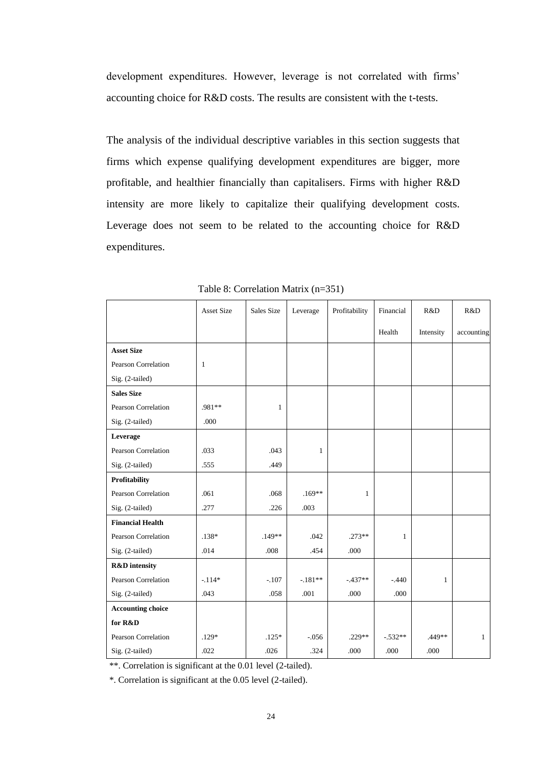development expenditures. However, leverage is not correlated with firms' accounting choice for R&D costs. The results are consistent with the t-tests.

The analysis of the individual descriptive variables in this section suggests that firms which expense qualifying development expenditures are bigger, more profitable, and healthier financially than capitalisers. Firms with higher R&D intensity are more likely to capitalize their qualifying development costs. Leverage does not seem to be related to the accounting choice for R&D expenditures.

|                            | <b>Asset Size</b> | Sales Size   | Leverage  | Profitability | Financial    | R&D          | R&D          |
|----------------------------|-------------------|--------------|-----------|---------------|--------------|--------------|--------------|
|                            |                   |              |           |               | Health       | Intensity    | accounting   |
| <b>Asset Size</b>          |                   |              |           |               |              |              |              |
| Pearson Correlation        | $\mathbf{1}$      |              |           |               |              |              |              |
| Sig. (2-tailed)            |                   |              |           |               |              |              |              |
| <b>Sales Size</b>          |                   |              |           |               |              |              |              |
| <b>Pearson Correlation</b> | .981**            | $\mathbf{1}$ |           |               |              |              |              |
| Sig. (2-tailed)            | .000              |              |           |               |              |              |              |
| Leverage                   |                   |              |           |               |              |              |              |
| Pearson Correlation        | .033              | .043         | 1         |               |              |              |              |
| Sig. (2-tailed)            | .555              | .449         |           |               |              |              |              |
| Profitability              |                   |              |           |               |              |              |              |
| Pearson Correlation        | .061              | .068         | $.169**$  | 1             |              |              |              |
| Sig. (2-tailed)            | .277              | .226         | .003      |               |              |              |              |
| <b>Financial Health</b>    |                   |              |           |               |              |              |              |
| Pearson Correlation        | $.138*$           | $.149**$     | .042      | $.273**$      | $\mathbf{1}$ |              |              |
| Sig. (2-tailed)            | .014              | .008         | .454      | .000          |              |              |              |
| <b>R&amp;D</b> intensity   |                   |              |           |               |              |              |              |
| <b>Pearson Correlation</b> | $-.114*$          | $-.107$      | $-.181**$ | $-.437**$     | $-.440$      | $\mathbf{1}$ |              |
| Sig. (2-tailed)            | .043              | .058         | .001      | .000          | .000         |              |              |
| <b>Accounting choice</b>   |                   |              |           |               |              |              |              |
| for R&D                    |                   |              |           |               |              |              |              |
| Pearson Correlation        | $.129*$           | $.125*$      | $-.056$   | $.229**$      | $-532**$     | .449**       | $\mathbf{1}$ |
| Sig. (2-tailed)            | .022              | .026         | .324      | .000          | .000         | .000         |              |

Table 8: Correlation Matrix (n=351)

\*\*. Correlation is significant at the 0.01 level (2-tailed).

\*. Correlation is significant at the 0.05 level (2-tailed).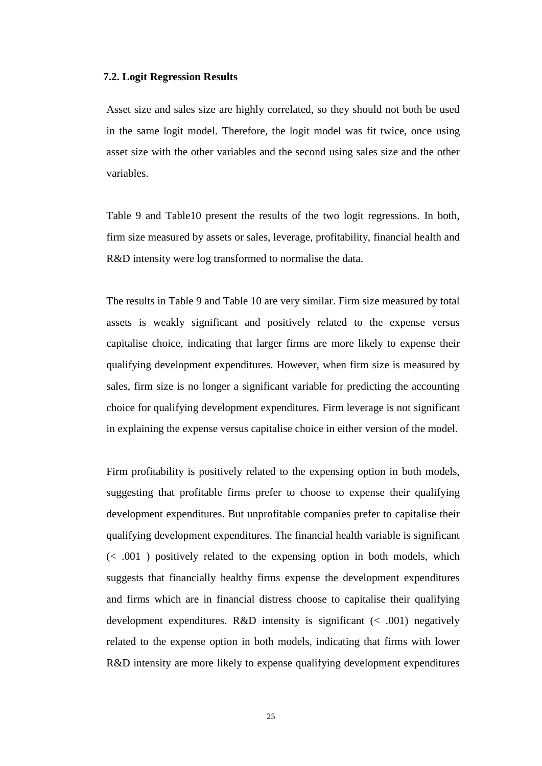#### **7.2. Logit Regression Results**

Asset size and sales size are highly correlated, so they should not both be used in the same logit model. Therefore, the logit model was fit twice, once using asset size with the other variables and the second using sales size and the other variables.

Table 9 and Table10 present the results of the two logit regressions. In both, firm size measured by assets or sales, leverage, profitability, financial health and R&D intensity were log transformed to normalise the data.

The results in Table 9 and Table 10 are very similar. Firm size measured by total assets is weakly significant and positively related to the expense versus capitalise choice, indicating that larger firms are more likely to expense their qualifying development expenditures. However, when firm size is measured by sales, firm size is no longer a significant variable for predicting the accounting choice for qualifying development expenditures. Firm leverage is not significant in explaining the expense versus capitalise choice in either version of the model.

Firm profitability is positively related to the expensing option in both models, suggesting that profitable firms prefer to choose to expense their qualifying development expenditures. But unprofitable companies prefer to capitalise their qualifying development expenditures. The financial health variable is significant  $\ll$  0.01 ) positively related to the expensing option in both models, which suggests that financially healthy firms expense the development expenditures and firms which are in financial distress choose to capitalise their qualifying development expenditures. R&D intensity is significant  $(< .001)$  negatively related to the expense option in both models, indicating that firms with lower R&D intensity are more likely to expense qualifying development expenditures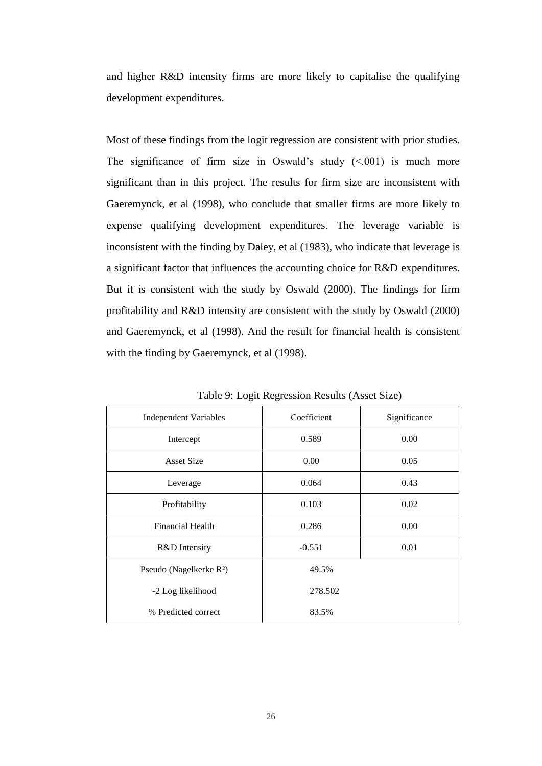and higher R&D intensity firms are more likely to capitalise the qualifying development expenditures.

Most of these findings from the logit regression are consistent with prior studies. The significance of firm size in Oswald's study  $(\leq 0.001)$  is much more significant than in this project. The results for firm size are inconsistent with Gaeremynck, et al (1998), who conclude that smaller firms are more likely to expense qualifying development expenditures. The leverage variable is inconsistent with the finding by Daley, et al (1983), who indicate that leverage is a significant factor that influences the accounting choice for R&D expenditures. But it is consistent with the study by Oswald (2000). The findings for firm profitability and R&D intensity are consistent with the study by Oswald (2000) and Gaeremynck, et al (1998). And the result for financial health is consistent with the finding by Gaeremynck, et al (1998).

| <b>Independent Variables</b>        | Coefficient | Significance |
|-------------------------------------|-------------|--------------|
| Intercept                           | 0.589       | 0.00         |
| <b>Asset Size</b>                   | 0.00        | 0.05         |
| Leverage                            | 0.064       | 0.43         |
| Profitability                       | 0.103       | 0.02         |
| Financial Health                    | 0.286       | 0.00         |
| R&D Intensity                       | $-0.551$    | 0.01         |
| Pseudo (Nagelkerke R <sup>2</sup> ) | 49.5%       |              |
| -2 Log likelihood                   | 278.502     |              |
| % Predicted correct                 | 83.5%       |              |

Table 9: Logit Regression Results (Asset Size)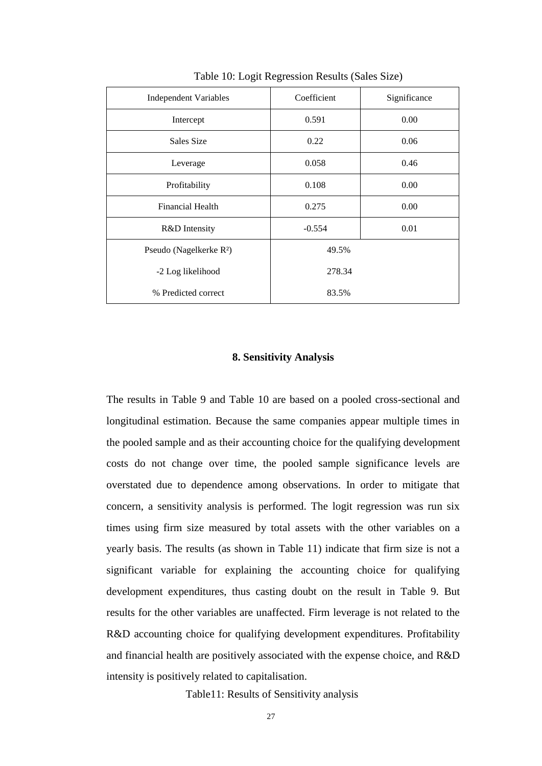| <b>Independent Variables</b>        | Coefficient | Significance |  |  |
|-------------------------------------|-------------|--------------|--|--|
| Intercept                           | 0.591       | 0.00         |  |  |
| Sales Size                          | 0.22        | 0.06         |  |  |
| Leverage                            | 0.058       | 0.46         |  |  |
| Profitability                       | 0.108       | 0.00         |  |  |
| Financial Health                    | 0.275       | 0.00         |  |  |
| R&D Intensity                       | $-0.554$    | 0.01         |  |  |
| Pseudo (Nagelkerke R <sup>2</sup> ) | 49.5%       |              |  |  |
| -2 Log likelihood                   | 278.34      |              |  |  |
| % Predicted correct                 | 83.5%       |              |  |  |

Table 10: Logit Regression Results (Sales Size)

# **8. Sensitivity Analysis**

The results in Table 9 and Table 10 are based on a pooled cross-sectional and longitudinal estimation. Because the same companies appear multiple times in the pooled sample and as their accounting choice for the qualifying development costs do not change over time, the pooled sample significance levels are overstated due to dependence among observations. In order to mitigate that concern, a sensitivity analysis is performed. The logit regression was run six times using firm size measured by total assets with the other variables on a yearly basis. The results (as shown in Table 11) indicate that firm size is not a significant variable for explaining the accounting choice for qualifying development expenditures, thus casting doubt on the result in Table 9. But results for the other variables are unaffected. Firm leverage is not related to the R&D accounting choice for qualifying development expenditures. Profitability and financial health are positively associated with the expense choice, and R&D intensity is positively related to capitalisation.

Table11: Results of Sensitivity analysis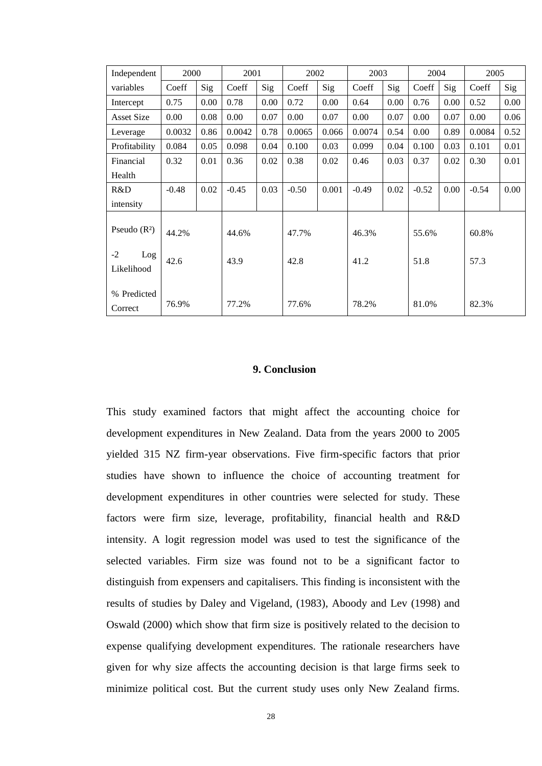| Independent               | 2000    |      | 2001    |      | 2002    |       | 2003    |      | 2004    |      | 2005    |      |
|---------------------------|---------|------|---------|------|---------|-------|---------|------|---------|------|---------|------|
| variables                 | Coeff   | Sig  | Coeff   | Sig  | Coeff   | Sig   | Coeff   | Sig  | Coeff   | Sig  | Coeff   | Sig  |
| Intercept                 | 0.75    | 0.00 | 0.78    | 0.00 | 0.72    | 0.00  | 0.64    | 0.00 | 0.76    | 0.00 | 0.52    | 0.00 |
| <b>Asset Size</b>         | 0.00    | 0.08 | 0.00    | 0.07 | 0.00    | 0.07  | 0.00    | 0.07 | 0.00    | 0.07 | 0.00    | 0.06 |
| Leverage                  | 0.0032  | 0.86 | 0.0042  | 0.78 | 0.0065  | 0.066 | 0.0074  | 0.54 | 0.00    | 0.89 | 0.0084  | 0.52 |
| Profitability             | 0.084   | 0.05 | 0.098   | 0.04 | 0.100   | 0.03  | 0.099   | 0.04 | 0.100   | 0.03 | 0.101   | 0.01 |
| Financial                 | 0.32    | 0.01 | 0.36    | 0.02 | 0.38    | 0.02  | 0.46    | 0.03 | 0.37    | 0.02 | 0.30    | 0.01 |
| Health                    |         |      |         |      |         |       |         |      |         |      |         |      |
| R&D                       | $-0.48$ | 0.02 | $-0.45$ | 0.03 | $-0.50$ | 0.001 | $-0.49$ | 0.02 | $-0.52$ | 0.00 | $-0.54$ | 0.00 |
| intensity                 |         |      |         |      |         |       |         |      |         |      |         |      |
| Pseudo $(R2)$             | 44.2%   |      | 44.6%   |      | 47.7%   |       | 46.3%   |      | 55.6%   |      | 60.8%   |      |
| $-2$<br>Log<br>Likelihood | 42.6    |      | 43.9    |      | 42.8    |       | 41.2    |      | 51.8    |      | 57.3    |      |
| % Predicted<br>Correct    | 76.9%   |      | 77.2%   |      | 77.6%   |       | 78.2%   |      | 81.0%   |      | 82.3%   |      |

# **9. Conclusion**

This study examined factors that might affect the accounting choice for development expenditures in New Zealand. Data from the years 2000 to 2005 yielded 315 NZ firm-year observations. Five firm-specific factors that prior studies have shown to influence the choice of accounting treatment for development expenditures in other countries were selected for study. These factors were firm size, leverage, profitability, financial health and R&D intensity. A logit regression model was used to test the significance of the selected variables. Firm size was found not to be a significant factor to distinguish from expensers and capitalisers. This finding is inconsistent with the results of studies by Daley and Vigeland, (1983), Aboody and Lev (1998) and Oswald (2000) which show that firm size is positively related to the decision to expense qualifying development expenditures. The rationale researchers have given for why size affects the accounting decision is that large firms seek to minimize political cost. But the current study uses only New Zealand firms.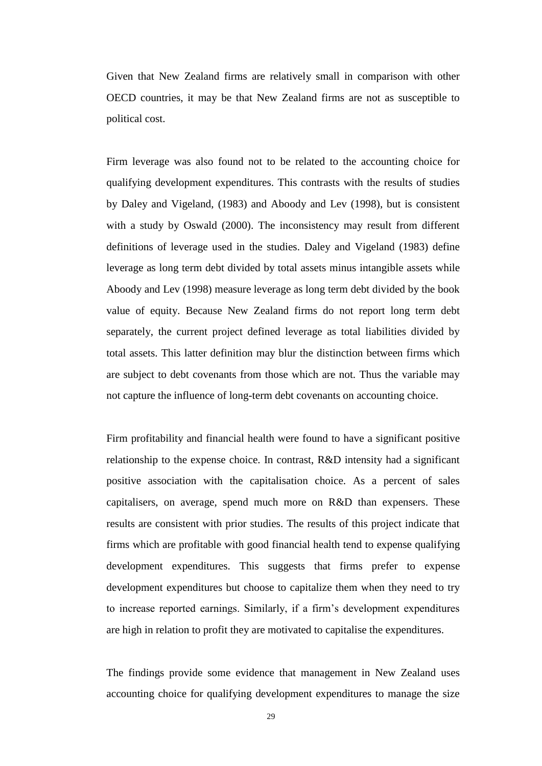Given that New Zealand firms are relatively small in comparison with other OECD countries, it may be that New Zealand firms are not as susceptible to political cost.

Firm leverage was also found not to be related to the accounting choice for qualifying development expenditures. This contrasts with the results of studies by Daley and Vigeland, (1983) and Aboody and Lev (1998), but is consistent with a study by Oswald (2000). The inconsistency may result from different definitions of leverage used in the studies. Daley and Vigeland (1983) define leverage as long term debt divided by total assets minus intangible assets while Aboody and Lev (1998) measure leverage as long term debt divided by the book value of equity. Because New Zealand firms do not report long term debt separately, the current project defined leverage as total liabilities divided by total assets. This latter definition may blur the distinction between firms which are subject to debt covenants from those which are not. Thus the variable may not capture the influence of long-term debt covenants on accounting choice.

Firm profitability and financial health were found to have a significant positive relationship to the expense choice. In contrast, R&D intensity had a significant positive association with the capitalisation choice. As a percent of sales capitalisers, on average, spend much more on R&D than expensers. These results are consistent with prior studies. The results of this project indicate that firms which are profitable with good financial health tend to expense qualifying development expenditures. This suggests that firms prefer to expense development expenditures but choose to capitalize them when they need to try to increase reported earnings. Similarly, if a firm's development expenditures are high in relation to profit they are motivated to capitalise the expenditures.

The findings provide some evidence that management in New Zealand uses accounting choice for qualifying development expenditures to manage the size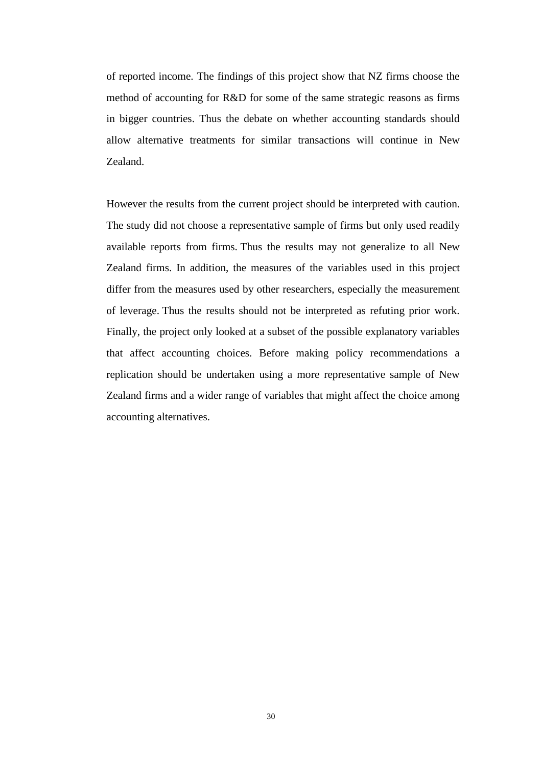of reported income. The findings of this project show that NZ firms choose the method of accounting for R&D for some of the same strategic reasons as firms in bigger countries. Thus the debate on whether accounting standards should allow alternative treatments for similar transactions will continue in New Zealand.

However the results from the current project should be interpreted with caution. The study did not choose a representative sample of firms but only used readily available reports from firms. Thus the results may not generalize to all New Zealand firms. In addition, the measures of the variables used in this project differ from the measures used by other researchers, especially the measurement of leverage. Thus the results should not be interpreted as refuting prior work. Finally, the project only looked at a subset of the possible explanatory variables that affect accounting choices. Before making policy recommendations a replication should be undertaken using a more representative sample of New Zealand firms and a wider range of variables that might affect the choice among accounting alternatives.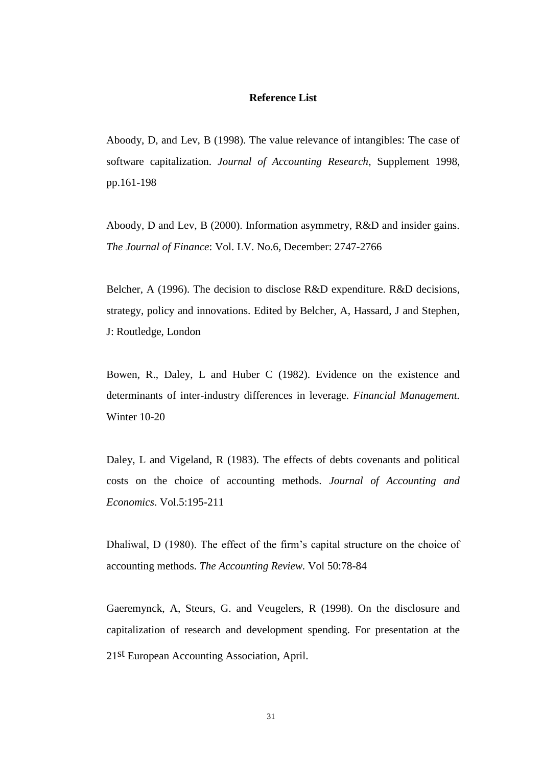# **Reference List**

Aboody, D, and Lev, B (1998). The value relevance of intangibles: The case of software capitalization. *Journal of Accounting Research*, Supplement 1998, pp.161-198

Aboody, D and Lev, B (2000). Information asymmetry, R&D and insider gains. *The Journal of Finance*: Vol. LV. No.6, December: 2747-2766

Belcher, A (1996). The decision to disclose R&D expenditure. R&D decisions, strategy, policy and innovations. Edited by Belcher, A, Hassard, J and Stephen, J: Routledge, London

Bowen, R., Daley, L and Huber C (1982). Evidence on the existence and determinants of inter-industry differences in leverage. *Financial Management.*  Winter 10-20

Daley, L and Vigeland, R (1983). The effects of debts covenants and political costs on the choice of accounting methods. *Journal of Accounting and Economics*. Vol.5:195-211

Dhaliwal, D (1980). The effect of the firm's capital structure on the choice of accounting methods. *The Accounting Review.* Vol 50:78-84

Gaeremynck, A, Steurs, G. and Veugelers, R (1998). On the disclosure and capitalization of research and development spending. For presentation at the 21st European Accounting Association, April.